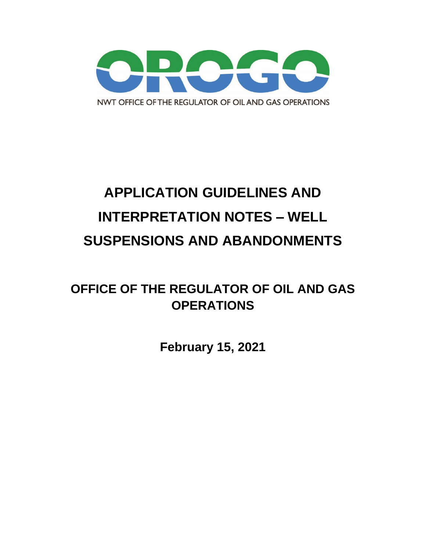

# **APPLICATION GUIDELINES AND INTERPRETATION NOTES – WELL SUSPENSIONS AND ABANDONMENTS**

## **OFFICE OF THE REGULATOR OF OIL AND GAS OPERATIONS**

**February 15, 2021**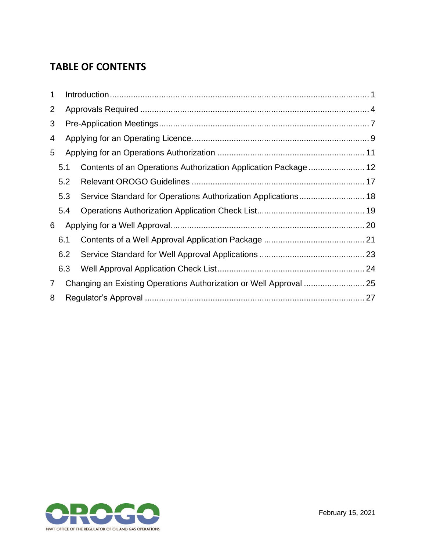## **TABLE OF CONTENTS**

| 1              |     |  |                                                               |  |
|----------------|-----|--|---------------------------------------------------------------|--|
| 2              |     |  |                                                               |  |
| 3              |     |  |                                                               |  |
| 4              |     |  |                                                               |  |
| 5              |     |  |                                                               |  |
|                | 5.1 |  |                                                               |  |
|                | 5.2 |  |                                                               |  |
|                | 5.3 |  | Service Standard for Operations Authorization Applications 18 |  |
|                | 5.4 |  |                                                               |  |
| 6              |     |  |                                                               |  |
|                | 6.1 |  |                                                               |  |
|                | 6.2 |  |                                                               |  |
|                | 6.3 |  |                                                               |  |
| $\overline{7}$ |     |  |                                                               |  |
| 8              |     |  |                                                               |  |
|                |     |  |                                                               |  |

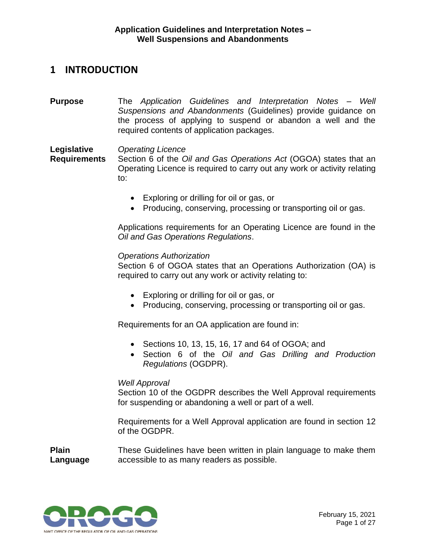### <span id="page-2-0"></span>**1 INTRODUCTION**

**Purpose** The *Application Guidelines and Interpretation Notes – Well Suspensions and Abandonments* (Guidelines) provide guidance on the process of applying to suspend or abandon a well and the required contents of application packages.

**Legislative**  *Operating Licence*

**Requirements** Section 6 of the *Oil and Gas Operations Act* (OGOA) states that an Operating Licence is required to carry out any work or activity relating to:

- Exploring or drilling for oil or gas, or
- Producing, conserving, processing or transporting oil or gas.

Applications requirements for an Operating Licence are found in the *Oil and Gas Operations Regulations*.

#### *Operations Authorization*

Section 6 of OGOA states that an Operations Authorization (OA) is required to carry out any work or activity relating to:

- Exploring or drilling for oil or gas, or
- Producing, conserving, processing or transporting oil or gas.

Requirements for an OA application are found in:

- Sections 10, 13, 15, 16, 17 and 64 of OGOA; and
- Section 6 of the *Oil and Gas Drilling and Production Regulations* (OGDPR).

#### *Well Approval*

Section 10 of the OGDPR describes the Well Approval requirements for suspending or abandoning a well or part of a well.

Requirements for a Well Approval application are found in section 12 of the OGDPR.

**Plain Language** These Guidelines have been written in plain language to make them accessible to as many readers as possible.

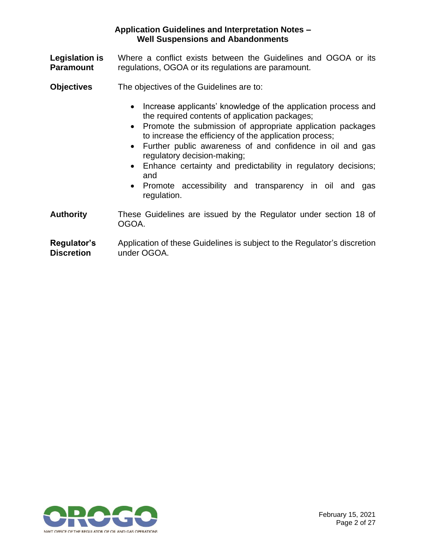- **Legislation is Paramount** Where a conflict exists between the Guidelines and OGOA or its regulations, OGOA or its regulations are paramount.
- **Objectives** The objectives of the Guidelines are to:
	- Increase applicants' knowledge of the application process and the required contents of application packages;
	- Promote the submission of appropriate application packages to increase the efficiency of the application process;
	- Further public awareness of and confidence in oil and gas regulatory decision-making;
	- Enhance certainty and predictability in regulatory decisions; and
	- Promote accessibility and transparency in oil and gas regulation.
- **Authority** These Guidelines are issued by the Regulator under section 18 of OGOA.
- **Regulator's Discretion** Application of these Guidelines is subject to the Regulator's discretion under OGOA.

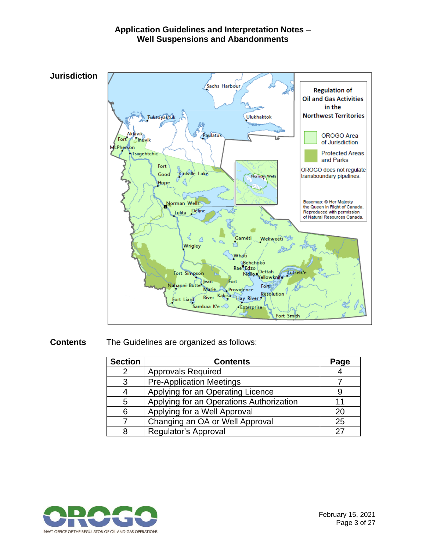

#### **Contents** The Guidelines are organized as follows:

| <b>Section</b> | <b>Contents</b>                          | Page |
|----------------|------------------------------------------|------|
| 2              | <b>Approvals Required</b>                |      |
| 3              | <b>Pre-Application Meetings</b>          |      |
|                | Applying for an Operating Licence        |      |
| 5              | Applying for an Operations Authorization | 11   |
| 6              | Applying for a Well Approval             | 20   |
|                | Changing an OA or Well Approval          | 25   |
| 8              | Regulator's Approval                     | 27   |

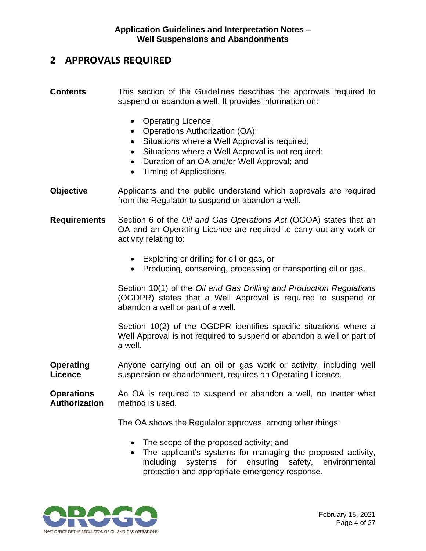## <span id="page-5-0"></span>**2 APPROVALS REQUIRED**

- **Contents** This section of the Guidelines describes the approvals required to suspend or abandon a well. It provides information on:
	- Operating Licence;
	- Operations Authorization (OA);
	- Situations where a Well Approval is required;
	- Situations where a Well Approval is not required;
	- Duration of an OA and/or Well Approval; and
	- Timing of Applications.
- **Objective** Applicants and the public understand which approvals are required from the Regulator to suspend or abandon a well.
- **Requirements** Section 6 of the *Oil and Gas Operations Act* (OGOA) states that an OA and an Operating Licence are required to carry out any work or activity relating to:
	- Exploring or drilling for oil or gas, or
	- Producing, conserving, processing or transporting oil or gas.

Section 10(1) of the *Oil and Gas Drilling and Production Regulations* (OGDPR) states that a Well Approval is required to suspend or abandon a well or part of a well.

Section 10(2) of the OGDPR identifies specific situations where a Well Approval is not required to suspend or abandon a well or part of a well.

**Operating Licence** Anyone carrying out an oil or gas work or activity, including well suspension or abandonment, requires an Operating Licence.

**Operations Authorization** An OA is required to suspend or abandon a well, no matter what method is used.

The OA shows the Regulator approves, among other things:

- The scope of the proposed activity; and
- The applicant's systems for managing the proposed activity, including systems for ensuring safety, environmental protection and appropriate emergency response.

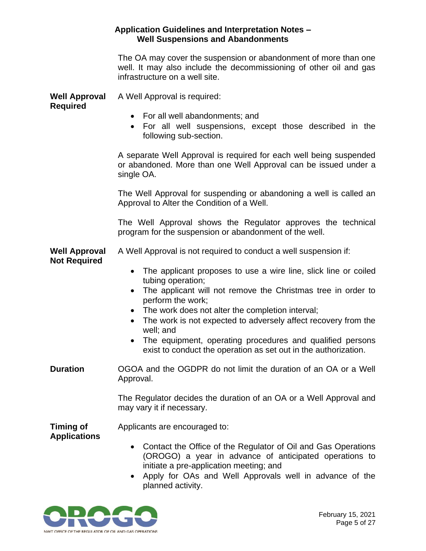|                                             | <b>Application Guidelines and Interpretation Notes -</b><br><b>Well Suspensions and Abandonments</b>                                                                                                                                                                                                                                                                                                                                                      |
|---------------------------------------------|-----------------------------------------------------------------------------------------------------------------------------------------------------------------------------------------------------------------------------------------------------------------------------------------------------------------------------------------------------------------------------------------------------------------------------------------------------------|
|                                             | The OA may cover the suspension or abandonment of more than one<br>well. It may also include the decommissioning of other oil and gas<br>infrastructure on a well site.                                                                                                                                                                                                                                                                                   |
| <b>Well Approval</b>                        | A Well Approval is required:                                                                                                                                                                                                                                                                                                                                                                                                                              |
| <b>Required</b>                             | • For all well abandonments; and<br>For all well suspensions, except those described in the<br>$\bullet$<br>following sub-section.                                                                                                                                                                                                                                                                                                                        |
|                                             | A separate Well Approval is required for each well being suspended<br>or abandoned. More than one Well Approval can be issued under a<br>single OA.                                                                                                                                                                                                                                                                                                       |
|                                             | The Well Approval for suspending or abandoning a well is called an<br>Approval to Alter the Condition of a Well.                                                                                                                                                                                                                                                                                                                                          |
|                                             | The Well Approval shows the Regulator approves the technical<br>program for the suspension or abandonment of the well.                                                                                                                                                                                                                                                                                                                                    |
| <b>Well Approval</b><br><b>Not Required</b> | A Well Approval is not required to conduct a well suspension if:                                                                                                                                                                                                                                                                                                                                                                                          |
|                                             | The applicant proposes to use a wire line, slick line or coiled<br>$\bullet$<br>tubing operation;<br>The applicant will not remove the Christmas tree in order to<br>perform the work;<br>The work does not alter the completion interval;<br>The work is not expected to adversely affect recovery from the<br>well; and<br>The equipment, operating procedures and qualified persons<br>exist to conduct the operation as set out in the authorization. |
| <b>Duration</b>                             | OGOA and the OGDPR do not limit the duration of an OA or a Well<br>Approval.                                                                                                                                                                                                                                                                                                                                                                              |
|                                             | The Regulator decides the duration of an OA or a Well Approval and<br>may vary it if necessary.                                                                                                                                                                                                                                                                                                                                                           |
| <b>Timing of</b><br><b>Applications</b>     | Applicants are encouraged to:                                                                                                                                                                                                                                                                                                                                                                                                                             |
|                                             | Contact the Office of the Regulator of Oil and Gas Operations<br>$\bullet$<br>(OROGO) a year in advance of anticipated operations to<br>initiate a pre-application meeting; and<br>Apply for OAs and Well Approvals well in advance of the<br>$\bullet$<br>planned activity.                                                                                                                                                                              |

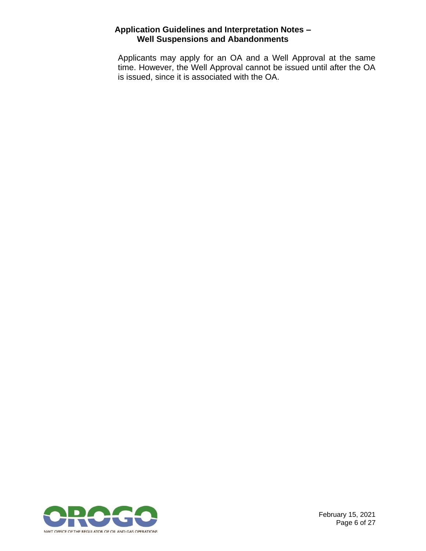Applicants may apply for an OA and a Well Approval at the same time. However, the Well Approval cannot be issued until after the OA is issued, since it is associated with the OA.



February 15, 2021 Page 6 of 27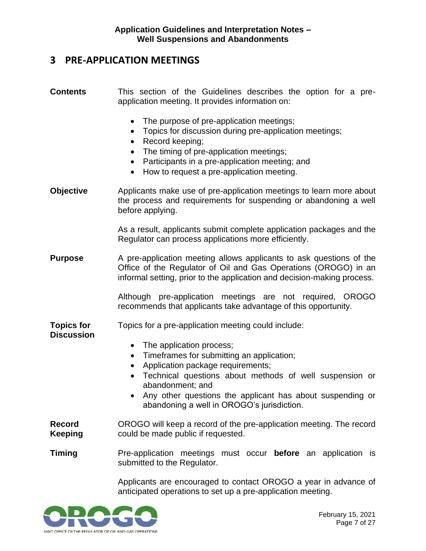## <span id="page-8-0"></span>**3 PRE-APPLICATION MEETINGS**

| <b>Contents</b>                        | This section of the Guidelines describes the option for a pre-<br>application meeting. It provides information on:                                                                                                                                                                                                                                                                                 |
|----------------------------------------|----------------------------------------------------------------------------------------------------------------------------------------------------------------------------------------------------------------------------------------------------------------------------------------------------------------------------------------------------------------------------------------------------|
|                                        | The purpose of pre-application meetings;<br>Topics for discussion during pre-application meetings;<br>$\bullet$<br>Record keeping;<br>$\bullet$<br>The timing of pre-application meetings;<br>Participants in a pre-application meeting; and<br>$\bullet$<br>How to request a pre-application meeting.<br>$\bullet$                                                                                |
| <b>Objective</b>                       | Applicants make use of pre-application meetings to learn more about<br>the process and requirements for suspending or abandoning a well<br>before applying.                                                                                                                                                                                                                                        |
|                                        | As a result, applicants submit complete application packages and the<br>Regulator can process applications more efficiently.                                                                                                                                                                                                                                                                       |
| <b>Purpose</b>                         | A pre-application meeting allows applicants to ask questions of the<br>Office of the Regulator of Oil and Gas Operations (OROGO) in an<br>informal setting, prior to the application and decision-making process.                                                                                                                                                                                  |
|                                        | Although pre-application meetings are not required, OROGO<br>recommends that applicants take advantage of this opportunity.                                                                                                                                                                                                                                                                        |
| <b>Topics for</b><br><b>Discussion</b> | Topics for a pre-application meeting could include:<br>The application process;<br>$\bullet$<br>Timeframes for submitting an application;<br>$\bullet$<br>Application package requirements;<br>Technical questions about methods of well suspension or<br>$\bullet$<br>abandonment; and<br>Any other questions the applicant has about suspending or<br>abandoning a well in OROGO's jurisdiction. |
| <b>Record</b><br><b>Keeping</b>        | OROGO will keep a record of the pre-application meeting. The record<br>could be made public if requested.                                                                                                                                                                                                                                                                                          |
| <b>Timing</b>                          | Pre-application meetings must occur <b>before</b> an application is<br>submitted to the Regulator.                                                                                                                                                                                                                                                                                                 |
|                                        | Applicants are encouraged to contact OROGO a year in advance of                                                                                                                                                                                                                                                                                                                                    |

anticipated operations to set up a pre-application meeting.

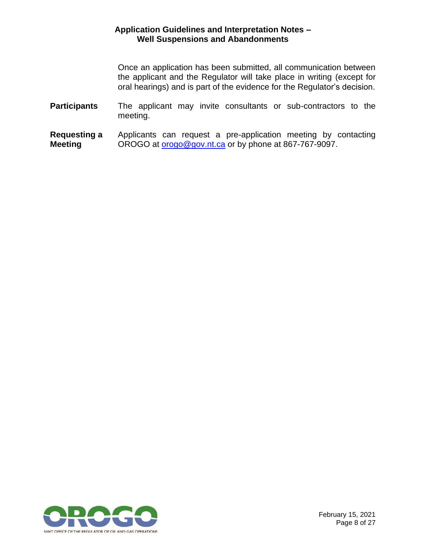Once an application has been submitted, all communication between the applicant and the Regulator will take place in writing (except for oral hearings) and is part of the evidence for the Regulator's decision.

- **Participants** The applicant may invite consultants or sub-contractors to the meeting.
- **Requesting a Meeting** Applicants can request a pre-application meeting by contacting OROGO at **orogo@gov.nt.ca** or by phone at 867-767-9097.

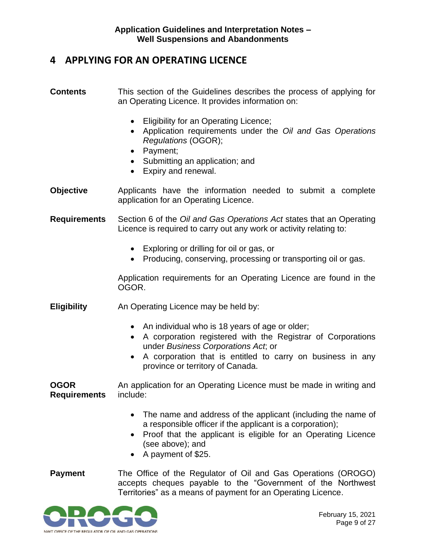## <span id="page-10-0"></span>**4 APPLYING FOR AN OPERATING LICENCE**

- **Contents** This section of the Guidelines describes the process of applying for an Operating Licence. It provides information on:
	- Eligibility for an Operating Licence;
	- Application requirements under the *Oil and Gas Operations Regulations* (OGOR);
	- Payment;
	- Submitting an application; and
	- Expiry and renewal.
- **Objective** Applicants have the information needed to submit a complete application for an Operating Licence.
- **Requirements** Section 6 of the *Oil and Gas Operations Act* states that an Operating Licence is required to carry out any work or activity relating to:
	- Exploring or drilling for oil or gas, or
	- Producing, conserving, processing or transporting oil or gas.

Application requirements for an Operating Licence are found in the OGOR.

- **Eligibility** An Operating Licence may be held by:
	- An individual who is 18 years of age or older;
	- A corporation registered with the Registrar of Corporations under *Business Corporations Act*; or
	- A corporation that is entitled to carry on business in any province or territory of Canada.

**OGOR Requirements** An application for an Operating Licence must be made in writing and include:

- The name and address of the applicant (including the name of a responsible officer if the applicant is a corporation);
- Proof that the applicant is eligible for an Operating Licence (see above); and
- A payment of \$25.
- **Payment** The Office of the Regulator of Oil and Gas Operations (OROGO) accepts cheques payable to the "Government of the Northwest Territories" as a means of payment for an Operating Licence.

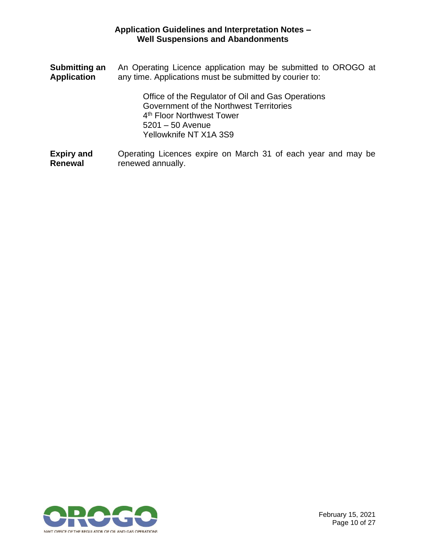| <b>Submitting an</b> | An Operating Licence application may be submitted to OROGO at                                                                                                                         |
|----------------------|---------------------------------------------------------------------------------------------------------------------------------------------------------------------------------------|
| <b>Application</b>   | any time. Applications must be submitted by courier to:                                                                                                                               |
|                      | Office of the Regulator of Oil and Gas Operations<br>Government of the Northwest Territories<br>4 <sup>th</sup> Floor Northwest Tower<br>$5201 - 50$ Avenue<br>Yellowknife NT X1A 3S9 |
| <b>Expiry and</b>    | Operating Licences expire on March 31 of each year and may be                                                                                                                         |
| <b>Renewal</b>       | renewed annually.                                                                                                                                                                     |

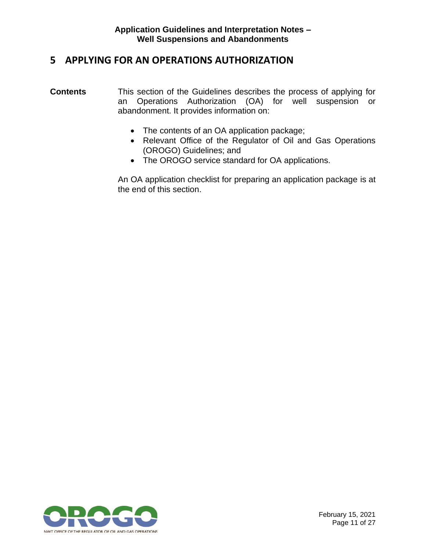## <span id="page-12-0"></span>**5 APPLYING FOR AN OPERATIONS AUTHORIZATION**

- **Contents** This section of the Guidelines describes the process of applying for an Operations Authorization (OA) for well suspension or abandonment. It provides information on:
	- The contents of an OA application package;
	- Relevant Office of the Regulator of Oil and Gas Operations (OROGO) Guidelines; and
	- The OROGO service standard for OA applications.

An OA application checklist for preparing an application package is at the end of this section.

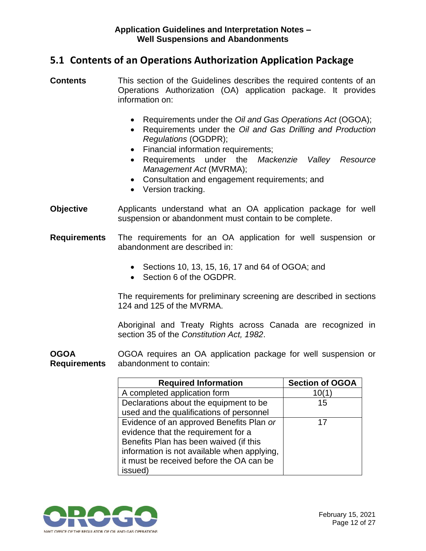## <span id="page-13-0"></span>**5.1 Contents of an Operations Authorization Application Package**

- **Contents** This section of the Guidelines describes the required contents of an Operations Authorization (OA) application package. It provides information on:
	- Requirements under the *Oil and Gas Operations Act* (OGOA);
	- Requirements under the *Oil and Gas Drilling and Production Regulations* (OGDPR);
	- Financial information requirements;
	- Requirements under the *Mackenzie Valley Resource Management Act* (MVRMA);
	- Consultation and engagement requirements; and
	- Version tracking.
- **Objective** Applicants understand what an OA application package for well suspension or abandonment must contain to be complete.
- **Requirements** The requirements for an OA application for well suspension or abandonment are described in:
	- Sections 10, 13, 15, 16, 17 and 64 of OGOA; and
	- Section 6 of the OGDPR.

The requirements for preliminary screening are described in sections 124 and 125 of the MVRMA.

Aboriginal and Treaty Rights across Canada are recognized in section 35 of the *Constitution Act, 1982*.

**OGOA Requirements** OGOA requires an OA application package for well suspension or abandonment to contain:

| <b>Required Information</b>                 | <b>Section of OGOA</b> |
|---------------------------------------------|------------------------|
| A completed application form                | 10(1)                  |
| Declarations about the equipment to be      | 15                     |
| used and the qualifications of personnel    |                        |
| Evidence of an approved Benefits Plan or    | 17                     |
| evidence that the requirement for a         |                        |
| Benefits Plan has been waived (if this      |                        |
| information is not available when applying, |                        |
| it must be received before the OA can be    |                        |
| issued)                                     |                        |

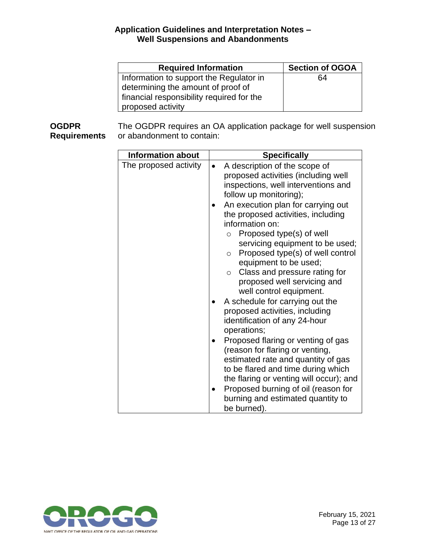| <b>Required Information</b>               | <b>Section of OGOA</b> |
|-------------------------------------------|------------------------|
| Information to support the Regulator in   | 64                     |
| determining the amount of proof of        |                        |
| financial responsibility required for the |                        |
| proposed activity                         |                        |

**OGDPR Requirements** The OGDPR requires an OA application package for well suspension or abandonment to contain:

| <b>Information about</b> | <b>Specifically</b>                         |
|--------------------------|---------------------------------------------|
|                          |                                             |
| The proposed activity    | A description of the scope of               |
|                          | proposed activities (including well         |
|                          | inspections, well interventions and         |
|                          | follow up monitoring);                      |
|                          | An execution plan for carrying out          |
|                          | the proposed activities, including          |
|                          | information on:                             |
|                          | Proposed type(s) of well<br>$\circ$         |
|                          | servicing equipment to be used;             |
|                          | Proposed type(s) of well control<br>$\circ$ |
|                          | equipment to be used;                       |
|                          | Class and pressure rating for<br>$\circ$    |
|                          | proposed well servicing and                 |
|                          |                                             |
|                          | well control equipment.                     |
|                          | A schedule for carrying out the             |
|                          | proposed activities, including              |
|                          | identification of any 24-hour               |
|                          | operations;                                 |
|                          | Proposed flaring or venting of gas          |
|                          | (reason for flaring or venting,             |
|                          | estimated rate and quantity of gas          |
|                          | to be flared and time during which          |
|                          | the flaring or venting will occur); and     |
|                          | Proposed burning of oil (reason for         |
|                          | burning and estimated quantity to           |
|                          |                                             |
|                          | be burned).                                 |

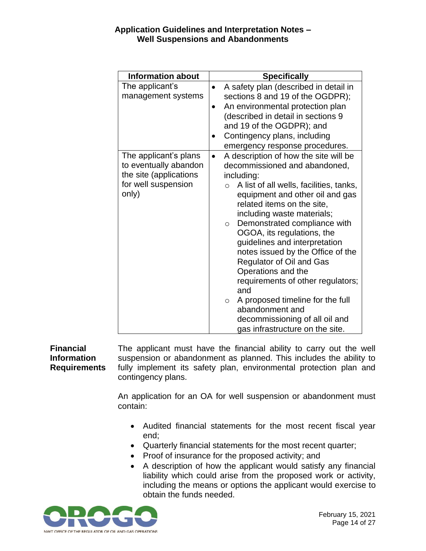| <b>Information about</b>                                                                                 | <b>Specifically</b>                                                                                                                                                                                                                                                                                                                                                                                                                                                                                                                                                                                                                               |
|----------------------------------------------------------------------------------------------------------|---------------------------------------------------------------------------------------------------------------------------------------------------------------------------------------------------------------------------------------------------------------------------------------------------------------------------------------------------------------------------------------------------------------------------------------------------------------------------------------------------------------------------------------------------------------------------------------------------------------------------------------------------|
| The applicant's<br>management systems                                                                    | A safety plan (described in detail in<br>$\bullet$<br>sections 8 and 19 of the OGDPR);<br>An environmental protection plan<br>$\bullet$<br>(described in detail in sections 9<br>and 19 of the OGDPR); and<br>Contingency plans, including<br>emergency response procedures.                                                                                                                                                                                                                                                                                                                                                                      |
| The applicant's plans<br>to eventually abandon<br>the site (applications<br>for well suspension<br>only) | A description of how the site will be<br>$\bullet$<br>decommissioned and abandoned,<br>including:<br>A list of all wells, facilities, tanks,<br>$\circ$<br>equipment and other oil and gas<br>related items on the site,<br>including waste materials;<br>Demonstrated compliance with<br>$\circ$<br>OGOA, its regulations, the<br>guidelines and interpretation<br>notes issued by the Office of the<br><b>Regulator of Oil and Gas</b><br>Operations and the<br>requirements of other regulators;<br>and<br>A proposed timeline for the full<br>$\circ$<br>abandonment and<br>decommissioning of all oil and<br>gas infrastructure on the site. |

**Financial Information Requirements** The applicant must have the financial ability to carry out the well suspension or abandonment as planned. This includes the ability to fully implement its safety plan, environmental protection plan and contingency plans.

> An application for an OA for well suspension or abandonment must contain:

- Audited financial statements for the most recent fiscal year end;
- Quarterly financial statements for the most recent quarter;
- Proof of insurance for the proposed activity; and
- A description of how the applicant would satisfy any financial liability which could arise from the proposed work or activity, including the means or options the applicant would exercise to obtain the funds needed.

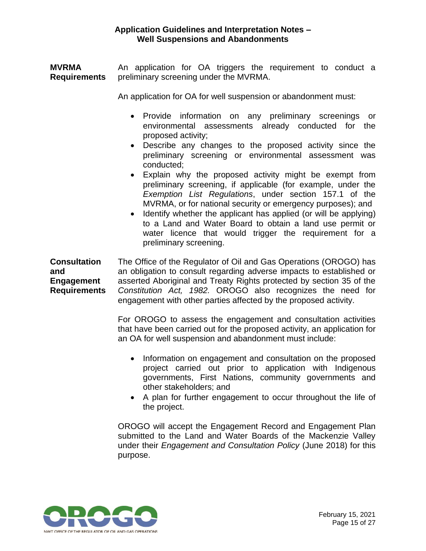**MVRMA Requirements** An application for OA triggers the requirement to conduct a preliminary screening under the MVRMA.

An application for OA for well suspension or abandonment must:

- Provide information on any preliminary screenings or environmental assessments already conducted for the proposed activity;
- Describe any changes to the proposed activity since the preliminary screening or environmental assessment was conducted;
- Explain why the proposed activity might be exempt from preliminary screening, if applicable (for example, under the *Exemption List Regulations*, under section 157.1 of the MVRMA, or for national security or emergency purposes); and
- Identify whether the applicant has applied (or will be applying) to a Land and Water Board to obtain a land use permit or water licence that would trigger the requirement for a preliminary screening.

**Consultation and Engagement Requirements** The Office of the Regulator of Oil and Gas Operations (OROGO) has an obligation to consult regarding adverse impacts to established or asserted Aboriginal and Treaty Rights protected by section 35 of the *Constitution Act, 1982.* OROGO also recognizes the need for engagement with other parties affected by the proposed activity.

> For OROGO to assess the engagement and consultation activities that have been carried out for the proposed activity, an application for an OA for well suspension and abandonment must include:

- Information on engagement and consultation on the proposed project carried out prior to application with Indigenous governments, First Nations, community governments and other stakeholders; and
- A plan for further engagement to occur throughout the life of the project.

OROGO will accept the Engagement Record and Engagement Plan submitted to the Land and Water Boards of the Mackenzie Valley under their *Engagement and Consultation Policy* (June 2018) for this purpose.

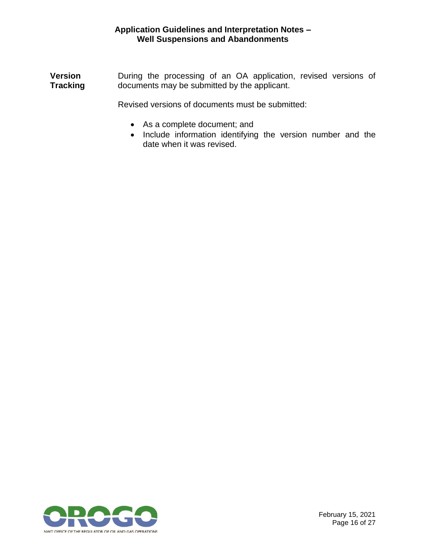**Version Tracking** During the processing of an OA application, revised versions of documents may be submitted by the applicant.

Revised versions of documents must be submitted:

- As a complete document; and
- Include information identifying the version number and the date when it was revised.

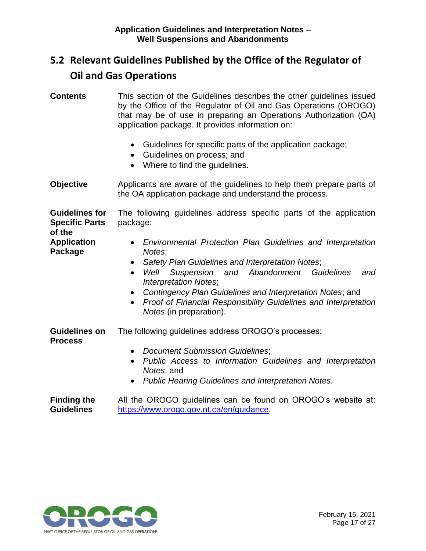## <span id="page-18-0"></span>**5.2 Relevant Guidelines Published by the Office of the Regulator of Oil and Gas Operations**

- **Contents** This section of the Guidelines describes the other guidelines issued by the Office of the Regulator of Oil and Gas Operations (OROGO) that may be of use in preparing an Operations Authorization (OA) application package. It provides information on:
	- Guidelines for specific parts of the application package;
	- Guidelines on process; and
	- Where to find the quidelines.
- **Objective** Applicants are aware of the guidelines to help them prepare parts of the OA application package and understand the process.

**Guidelines for Specific Parts of the**  The following guidelines address specific parts of the application package:

- *Environmental Protection Plan Guidelines and Interpretation Notes*;
	- *Safety Plan Guidelines and Interpretation Notes*;
	- *Well Suspension and Abandonment Guidelines and Interpretation Notes*;
	- *Contingency Plan Guidelines and Interpretation Notes*; and
	- *Proof of Financial Responsibility Guidelines and Interpretation Notes* (in preparation).

**Guidelines on Process** The following guidelines address OROGO's processes:

- *Document Submission Guidelines*;
- *Public Access to Information Guidelines and Interpretation Notes*; and
- *Public Hearing Guidelines and Interpretation Notes.*

**Finding the Guidelines** All the OROGO guidelines can be found on OROGO's website at: [https://www.orogo.gov.nt.ca/en/guidance.](https://www.orogo.gov.nt.ca/en/guidance)



**Application Package**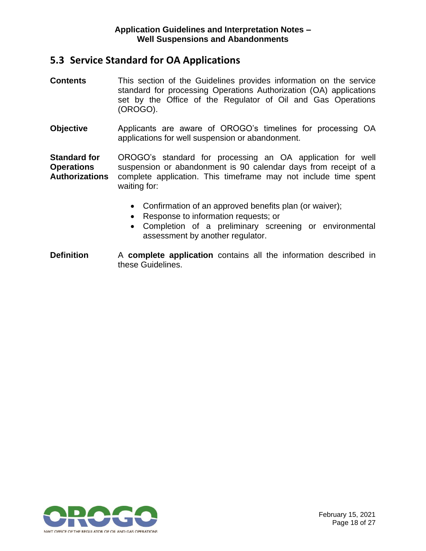## <span id="page-19-0"></span>**5.3 Service Standard for OA Applications**

- **Contents** This section of the Guidelines provides information on the service standard for processing Operations Authorization (OA) applications set by the Office of the Regulator of Oil and Gas Operations (OROGO).
- **Objective** Applicants are aware of OROGO's timelines for processing OA applications for well suspension or abandonment.

**Standard for Operations Authorizations** OROGO's standard for processing an OA application for well suspension or abandonment is 90 calendar days from receipt of a complete application. This timeframe may not include time spent waiting for:

- Confirmation of an approved benefits plan (or waiver);
- Response to information requests; or
- Completion of a preliminary screening or environmental assessment by another regulator.
- **Definition** A **complete application** contains all the information described in these Guidelines.

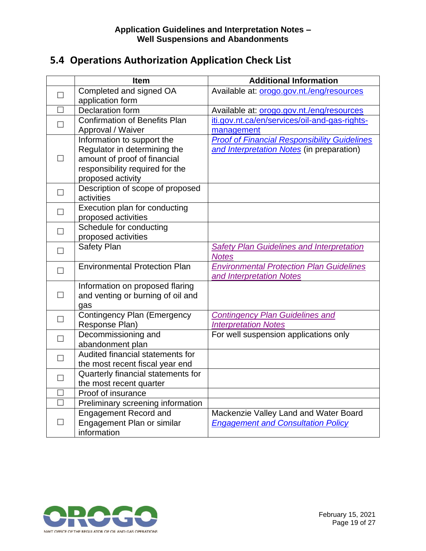## <span id="page-20-0"></span>**5.4 Operations Authorization Application Check List**

|                          | <b>Item</b>                                                                                                                                        | <b>Additional Information</b>                                                                    |
|--------------------------|----------------------------------------------------------------------------------------------------------------------------------------------------|--------------------------------------------------------------------------------------------------|
| П                        | Completed and signed OA<br>application form                                                                                                        | Available at: orogo.gov.nt./eng/resources                                                        |
| П                        | Declaration form                                                                                                                                   | Available at: orogo.gov.nt./eng/resources                                                        |
| $\Box$                   | Confirmation of Benefits Plan<br>Approval / Waiver                                                                                                 | iti.gov.nt.ca/en/services/oil-and-gas-rights-<br>management                                      |
| П                        | Information to support the<br>Regulator in determining the<br>amount of proof of financial<br>responsibility required for the<br>proposed activity | <b>Proof of Financial Responsibility Guidelines</b><br>and Interpretation Notes (in preparation) |
| П                        | Description of scope of proposed<br>activities                                                                                                     |                                                                                                  |
| $\Box$                   | Execution plan for conducting<br>proposed activities                                                                                               |                                                                                                  |
| $\Box$                   | Schedule for conducting<br>proposed activities                                                                                                     |                                                                                                  |
| $\Box$                   | Safety Plan                                                                                                                                        | <b>Safety Plan Guidelines and Interpretation</b><br><b>Notes</b>                                 |
| $\Box$                   | <b>Environmental Protection Plan</b>                                                                                                               | <b>Environmental Protection Plan Guidelines</b><br>and Interpretation Notes                      |
| $\Box$                   | Information on proposed flaring<br>and venting or burning of oil and<br>gas                                                                        |                                                                                                  |
| $\Box$                   | <b>Contingency Plan (Emergency</b><br>Response Plan)                                                                                               | <b>Contingency Plan Guidelines and</b><br><b>Interpretation Notes</b>                            |
| $\Box$                   | Decommissioning and<br>abandonment plan                                                                                                            | For well suspension applications only                                                            |
| $\Box$                   | Audited financial statements for<br>the most recent fiscal year end                                                                                |                                                                                                  |
| $\Box$                   | Quarterly financial statements for<br>the most recent quarter                                                                                      |                                                                                                  |
| $\Box$                   | Proof of insurance                                                                                                                                 |                                                                                                  |
| П                        | Preliminary screening information                                                                                                                  |                                                                                                  |
| $\overline{\phantom{0}}$ | <b>Engagement Record and</b><br>Engagement Plan or similar<br>information                                                                          | Mackenzie Valley Land and Water Board<br><b>Engagement and Consultation Policy</b>               |

<span id="page-20-1"></span>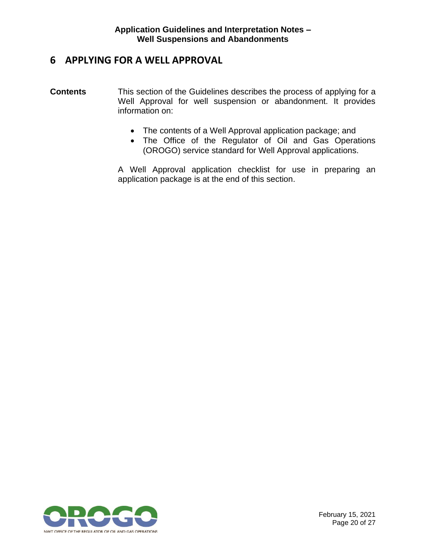## **6 APPLYING FOR A WELL APPROVAL**

- **Contents** This section of the Guidelines describes the process of applying for a Well Approval for well suspension or abandonment. It provides information on:
	- The contents of a Well Approval application package; and
	- The Office of the Regulator of Oil and Gas Operations (OROGO) service standard for Well Approval applications.

A Well Approval application checklist for use in preparing an application package is at the end of this section.

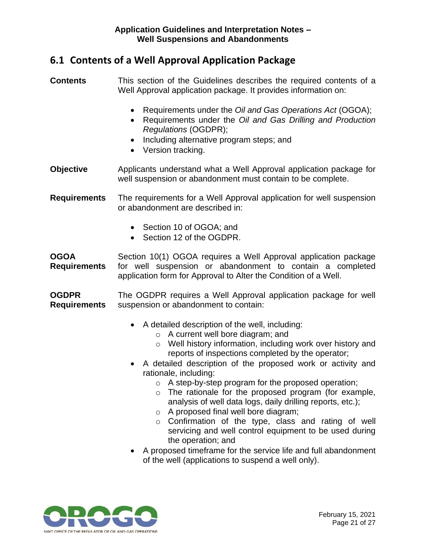## <span id="page-22-0"></span>**6.1 Contents of a Well Approval Application Package**

**Contents** This section of the Guidelines describes the required contents of a Well Approval application package. It provides information on:

- Requirements under the *Oil and Gas Operations Act* (OGOA);
- Requirements under the *Oil and Gas Drilling and Production Regulations* (OGDPR);
- Including alternative program steps; and
- Version tracking.
- **Objective** Applicants understand what a Well Approval application package for well suspension or abandonment must contain to be complete.

**Requirements** The requirements for a Well Approval application for well suspension or abandonment are described in:

- Section 10 of OGOA; and
- Section 12 of the OGDPR.

**OGOA Requirements** Section 10(1) OGOA requires a Well Approval application package for well suspension or abandonment to contain a completed application form for Approval to Alter the Condition of a Well.

**OGDPR Requirements** The OGDPR requires a Well Approval application package for well suspension or abandonment to contain:

- A detailed description of the well, including:
	- o A current well bore diagram; and
	- o Well history information, including work over history and reports of inspections completed by the operator;
- A detailed description of the proposed work or activity and rationale, including:
	- o A step-by-step program for the proposed operation;
	- o The rationale for the proposed program (for example, analysis of well data logs, daily drilling reports, etc.);
	- o A proposed final well bore diagram;
	- o Confirmation of the type, class and rating of well servicing and well control equipment to be used during the operation; and
- A proposed timeframe for the service life and full abandonment of the well (applications to suspend a well only).

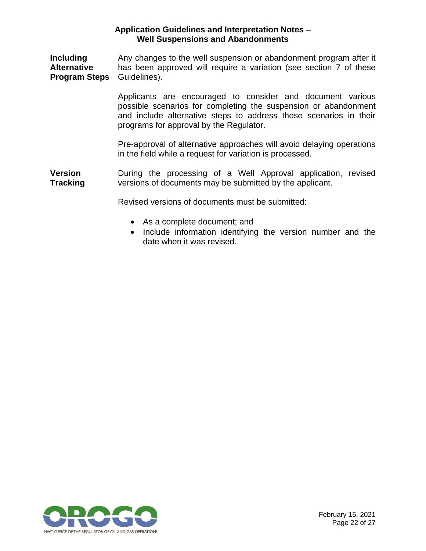**Including Alternative Program Steps** Any changes to the well suspension or abandonment program after it has been approved will require a variation (see section 7 of these Guidelines).

> Applicants are encouraged to consider and document various possible scenarios for completing the suspension or abandonment and include alternative steps to address those scenarios in their programs for approval by the Regulator.

> Pre-approval of alternative approaches will avoid delaying operations in the field while a request for variation is processed.

**Version Tracking** During the processing of a Well Approval application, revised versions of documents may be submitted by the applicant.

Revised versions of documents must be submitted:

- As a complete document; and
- Include information identifying the version number and the date when it was revised.

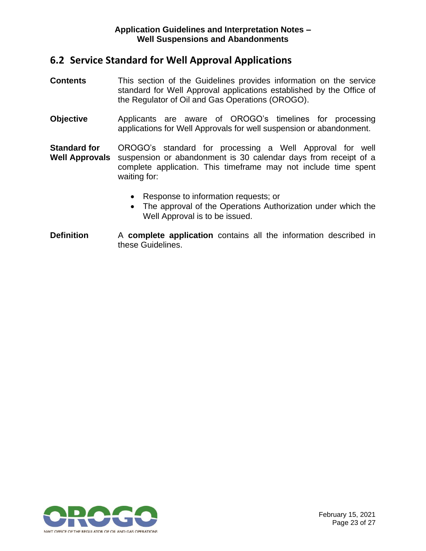### <span id="page-24-0"></span>**6.2 Service Standard for Well Approval Applications**

- **Contents** This section of the Guidelines provides information on the service standard for Well Approval applications established by the Office of the Regulator of Oil and Gas Operations (OROGO).
- **Objective** Applicants are aware of OROGO's timelines for processing applications for Well Approvals for well suspension or abandonment.
- **Standard for Well Approvals** OROGO's standard for processing a Well Approval for well suspension or abandonment is 30 calendar days from receipt of a complete application. This timeframe may not include time spent waiting for:
	- Response to information requests; or
	- The approval of the Operations Authorization under which the Well Approval is to be issued.
- **Definition** A **complete application** contains all the information described in these Guidelines.

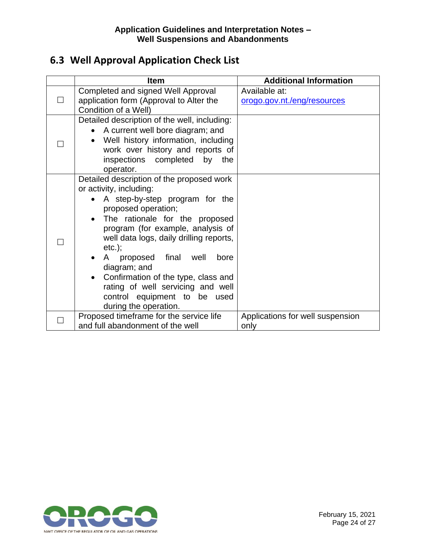## <span id="page-25-0"></span>**6.3 Well Approval Application Check List**

| <b>Item</b>                                                                                                                                                                                                                                                                                                                                                                                                                                                    | <b>Additional Information</b>                |
|----------------------------------------------------------------------------------------------------------------------------------------------------------------------------------------------------------------------------------------------------------------------------------------------------------------------------------------------------------------------------------------------------------------------------------------------------------------|----------------------------------------------|
| Completed and signed Well Approval<br>application form (Approval to Alter the<br>Condition of a Well)                                                                                                                                                                                                                                                                                                                                                          | Available at:<br>orogo.gov.nt./eng/resources |
| Detailed description of the well, including:<br>A current well bore diagram; and<br>$\bullet$<br>Well history information, including<br>work over history and reports of<br>inspections completed by<br>the<br>operator.                                                                                                                                                                                                                                       |                                              |
| Detailed description of the proposed work<br>or activity, including:<br>A step-by-step program for the<br>proposed operation;<br>The rationale for the proposed<br>$\bullet$<br>program (for example, analysis of<br>well data logs, daily drilling reports,<br>$etc.$ ;<br>A proposed final well<br>bore<br>diagram; and<br>Confirmation of the type, class and<br>rating of well servicing and well<br>control equipment to be used<br>during the operation. |                                              |
| Proposed timeframe for the service life<br>and full abandonment of the well                                                                                                                                                                                                                                                                                                                                                                                    | Applications for well suspension<br>only     |

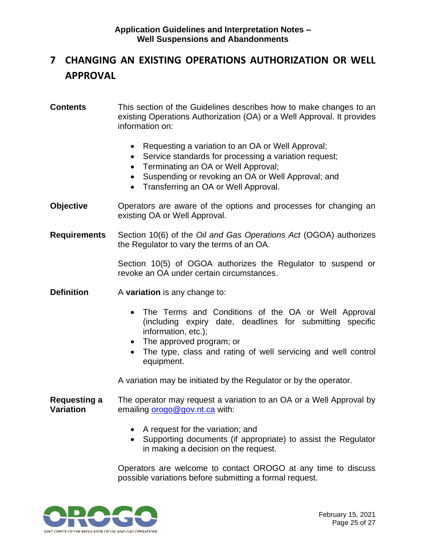## <span id="page-26-0"></span>**7 CHANGING AN EXISTING OPERATIONS AUTHORIZATION OR WELL APPROVAL**

#### **Contents** This section of the Guidelines describes how to make changes to an existing Operations Authorization (OA) or a Well Approval. It provides information on:

- Requesting a variation to an OA or Well Approval;
- Service standards for processing a variation request;
- Terminating an OA or Well Approval;
- Suspending or revoking an OA or Well Approval; and
- Transferring an OA or Well Approval.
- **Objective** Operators are aware of the options and processes for changing an existing OA or Well Approval.
- **Requirements** Section 10(6) of the *Oil and Gas Operations Act* (OGOA) authorizes the Regulator to vary the terms of an OA.

Section 10(5) of OGOA authorizes the Regulator to suspend or revoke an OA under certain circumstances.

- **Definition** A **variation** is any change to:
	- The Terms and Conditions of the OA or Well Approval (including expiry date, deadlines for submitting specific information, etc.);
	- The approved program; or
	- The type, class and rating of well servicing and well control equipment.

A variation may be initiated by the Regulator or by the operator.

- **Requesting a Variation** The operator may request a variation to an OA or a Well Approval by emailing [orogo@gov.nt.ca](file:///C:/Users/pdejong/AppData/Roaming/OpenText/OTEdit/EC_content_server/c117408581/orogo@gov.nt.ca) with:
	- A request for the variation; and
	- Supporting documents (if appropriate) to assist the Regulator in making a decision on the request.

Operators are welcome to contact OROGO at any time to discuss possible variations before submitting a formal request.

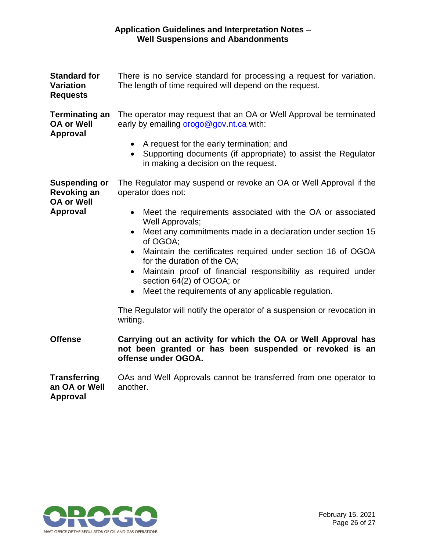| <b>Standard for</b><br><b>Variation</b><br><b>Requests</b>                         | There is no service standard for processing a request for variation.<br>The length of time required will depend on the request.                                                                                                                                                                                                                                                                                                                                                                                                                                                                                                     |  |
|------------------------------------------------------------------------------------|-------------------------------------------------------------------------------------------------------------------------------------------------------------------------------------------------------------------------------------------------------------------------------------------------------------------------------------------------------------------------------------------------------------------------------------------------------------------------------------------------------------------------------------------------------------------------------------------------------------------------------------|--|
| <b>Terminating an</b><br><b>OA or Well</b><br><b>Approval</b>                      | The operator may request that an OA or Well Approval be terminated<br>early by emailing orogo@gov.nt.ca with:<br>A request for the early termination; and<br>$\bullet$<br>Supporting documents (if appropriate) to assist the Regulator<br>$\bullet$<br>in making a decision on the request.                                                                                                                                                                                                                                                                                                                                        |  |
| <b>Suspending or</b><br><b>Revoking an</b><br><b>OA or Well</b><br><b>Approval</b> | The Regulator may suspend or revoke an OA or Well Approval if the<br>operator does not:<br>Meet the requirements associated with the OA or associated<br>$\bullet$<br>Well Approvals;<br>Meet any commitments made in a declaration under section 15<br>of OGOA;<br>Maintain the certificates required under section 16 of OGOA<br>$\bullet$<br>for the duration of the OA;<br>Maintain proof of financial responsibility as required under<br>section 64(2) of OGOA; or<br>Meet the requirements of any applicable regulation.<br>$\bullet$<br>The Regulator will notify the operator of a suspension or revocation in<br>writing. |  |
| <b>Offense</b>                                                                     | Carrying out an activity for which the OA or Well Approval has<br>not been granted or has been suspended or revoked is an<br>offense under OGOA.                                                                                                                                                                                                                                                                                                                                                                                                                                                                                    |  |
| <b>Transferring</b><br>an OA or Well                                               | OAs and Well Approvals cannot be transferred from one operator to<br>another.                                                                                                                                                                                                                                                                                                                                                                                                                                                                                                                                                       |  |

**an OA or Well Approval**